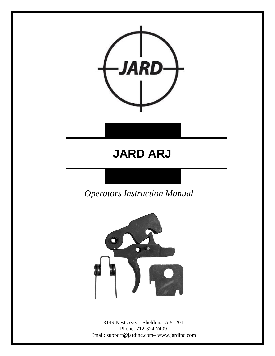

## **JARD ARJ**

*Operators Instruction Manual* 



3149 Nest Ave. – Sheldon, IA 51201 Phone: 712-324-7409 Email: support@jardinc.com– www.jardinc.com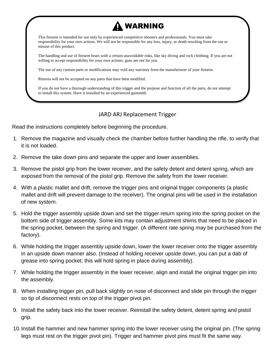

This firearm is intended for use only by experienced competitive shooters and professionals. You must take responsibility for your own actions. We will not be responsible for any loss, injury, or death resulting from the use or misuse of this product.

The handling and use of firearm bears with a certain unavoidable risks, like sky diving and rock climbing. If you are not willing to accept responsibility for your own actions, guns are not for you.

The use of any custom parts or modifications may void any warranty from the manufacturer of your firearm.

Returns will not be accepted on any parts that have been modified.

If you do not have a thorough understanding of this trigger and the purpose and function of all the parts, do not attempt to install this system. Have it installed by an experienced gunsmith.

## JARD ARJ Replacement Trigger

Read the instructions completely before beginning the procedure.

- 1. Remove the magazine and visually check the chamber before further handling the rifle, to verify that it is not loaded.
- 2. Remove the take down pins and separate the upper and lower assemblies.
- 3. Remove the pistol grip from the lower receiver, and the safety detent and detent spring, which are exposed from the removal of the pistol grip. Remove the safety from the lower receiver.
- 4. With a plastic mallet and drift, remove the trigger pins and original trigger components (a plastic mallet and drift will prevent damage to the receiver). The original pins will be used in the installation of new system.
- 5. Hold the trigger assembly upside down and set the trigger return spring into the spring pocket on the bottom side of trigger assembly. Some kits may contain adjustment shims that need to be placed in the spring pocket, between the spring and trigger. (A different rate spring may be purchased from the factory).
- 6. While holding the trigger assembly upside down, lower the lower receiver onto the trigger assembly in an upside down manner also. (Instead of holding receiver upside down, you can put a dab of grease into spring pocket; this will hold spring in place during assembly).
- 7. While holding the trigger assembly in the lower receiver, align and install the original trigger pin into the assembly.
- 8. When installing trigger pin, pull back slightly on nose of disconnect and slide pin through the trigger so tip of disconnect rests on top of the trigger pivot pin.
- 9. Install the safety back into the lower receiver. Reinstall the safety detent, detent spring and pistol grip.
- 10.Install the hammer and new hammer spring into the lower receiver using the original pin. (The spring legs must rest on the trigger pivot pin). Trigger and hammer pivot pins must fit the same way.